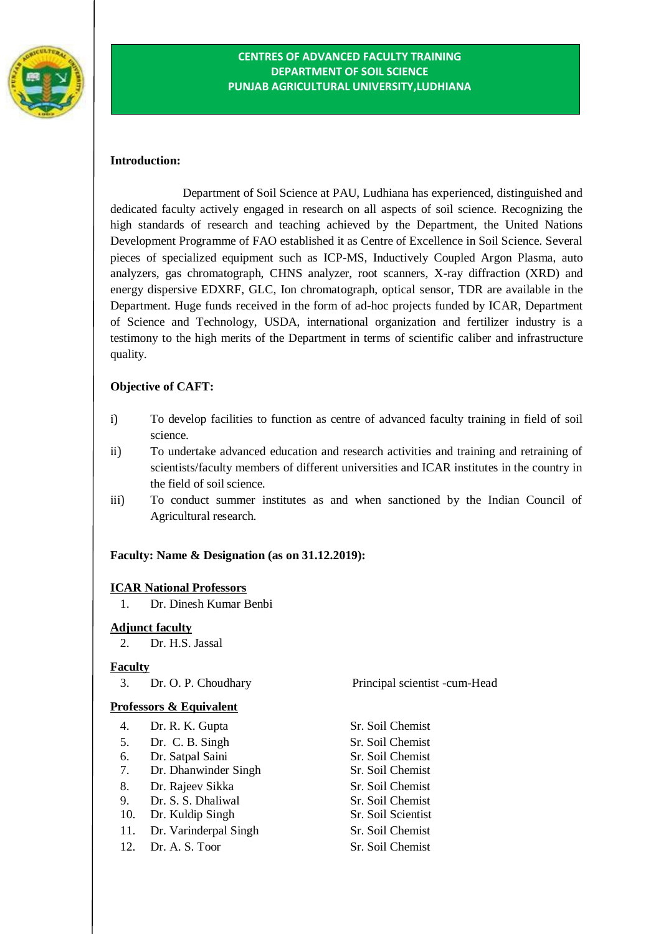

## **CENTRES OF ADVANCED FACULTY TRAINING DEPARTMENT OF SOIL SCIENCE PUNJAB AGRICULTURAL UNIVERSITY,LUDHIANA**

### **Introduction:**

Department of Soil Science at PAU, Ludhiana has experienced, distinguished and dedicated faculty actively engaged in research on all aspects of soil science. Recognizing the high standards of research and teaching achieved by the Department, the United Nations Development Programme of FAO established it as Centre of Excellence in Soil Science. Several pieces of specialized equipment such as ICP-MS, Inductively Coupled Argon Plasma, auto analyzers, gas chromatograph, CHNS analyzer, root scanners, X-ray diffraction (XRD) and energy dispersive EDXRF, GLC, Ion chromatograph, optical sensor, TDR are available in the Department. Huge funds received in the form of ad-hoc projects funded by ICAR, Department of Science and Technology, USDA, international organization and fertilizer industry is a testimony to the high merits of the Department in terms of scientific caliber and infrastructure quality.

## **Objective of CAFT:**

- i) To develop facilities to function as centre of advanced faculty training in field of soil science.
- ii) To undertake advanced education and research activities and training and retraining of scientists/faculty members of different universities and ICAR institutes in the country in the field of soilscience.
- iii) To conduct summer institutes as and when sanctioned by the Indian Council of Agricultural research.

### **Faculty: Name & Designation (as on 31.12.2019):**

### **ICAR National Professors**

1. Dr. Dinesh Kumar Benbi

### **Adjunct faculty**

2. Dr. H.S. Jassal

### **Faculty**

### **Professors & Equivalent**

- 4. Dr. R. K. Gupta Sr. Soil Chemist
- 5. Dr. C. B. Singh Sr. Soil Chemist
- 6. Dr. Satpal Saini Sr. Soil Chemist
- 7. Dr. Dhanwinder Singh Sr. Soil Chemist
- 8. Dr. Rajeev Sikka Sr. Soil Chemist
- 9. Dr. S. S. Dhaliwal Sr. Soil Chemist
- 10. Dr. Kuldip Singh Sr. Soil Scientist
- 11. Dr. Varinderpal Singh Sr. Soil Chemist
- 12. Dr. A. S. Toor Sr. Soil Chemist

3. Dr. O. P. Choudhary Principal scientist -cum-Head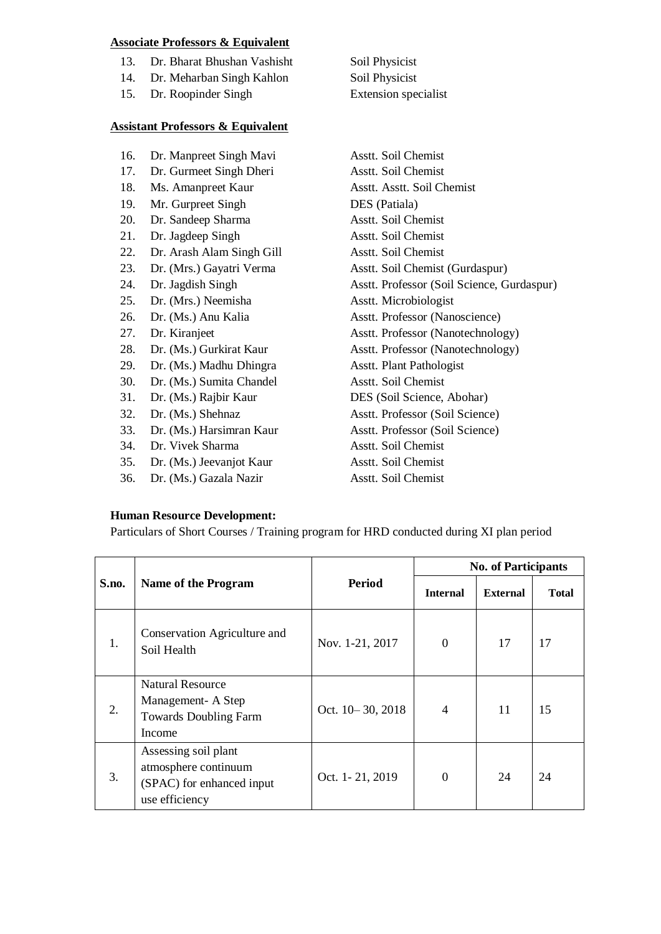## **Associate Professors & Equivalent**

- 13. Dr. Bharat Bhushan Vashisht Soil Physicist
- 14. Dr. Meharban Singh Kahlon Soil Physicist
- 15. Dr. Roopinder Singh Extension specialist

#### **Assistant Professors & Equivalent**

- 16. Dr. Manpreet Singh Mavi Asstt. Soil Chemist
- 17. Dr. Gurmeet Singh Dheri Asstt. Soil Chemist
- 
- 19. Mr. Gurpreet Singh DES (Patiala)
- 20. Dr. Sandeep Sharma Asstt. Soil Chemist
- 21. Dr. Jagdeep Singh Asstt. Soil Chemist
- 22. Dr. Arash Alam Singh Gill Asstt. Soil Chemist
- 
- 
- 25. Dr. (Mrs.) Neemisha Asstt. Microbiologist
- 
- 
- 
- 29. Dr. (Ms.) Madhu Dhingra Asstt. Plant Pathologist
- 30. Dr. (Ms.) Sumita Chandel Asstt. Soil Chemist
- 
- 
- 33. Dr. (Ms.) Harsimran Kaur Asstt. Professor (Soil Science)
- 34. Dr. Vivek Sharma Asstt. Soil Chemist
- 35. Dr. (Ms.) Jeevanjot Kaur Asstt. Soil Chemist
- 36. Dr. (Ms.) Gazala Nazir Asstt. Soil Chemist

18. Ms. Amanpreet Kaur Asstt. Asstt. Soil Chemist 23. Dr. (Mrs.) Gayatri Verma Asstt. Soil Chemist (Gurdaspur) 24. Dr. Jagdish Singh Asstt. Professor (Soil Science, Gurdaspur) 26. Dr. (Ms.) Anu Kalia Asstt. Professor (Nanoscience) 27. Dr. Kiranjeet Asstt. Professor (Nanotechnology) 28. Dr. (Ms.) Gurkirat Kaur Asstt. Professor (Nanotechnology) 31. Dr. (Ms.) Rajbir Kaur DES (Soil Science, Abohar) 32. Dr. (Ms.) Shehnaz Asstt. Professor (Soil Science)

### **Human Resource Development:**

Particulars of Short Courses / Training program for HRD conducted during XI plan period

| S.no. | Name of the Program                                                                         |                    | <b>No. of Participants</b> |                 |              |
|-------|---------------------------------------------------------------------------------------------|--------------------|----------------------------|-----------------|--------------|
|       |                                                                                             | <b>Period</b>      | <b>Internal</b>            | <b>External</b> | <b>Total</b> |
| 1.    | Conservation Agriculture and<br>Soil Health                                                 | Nov. 1-21, 2017    | $\Omega$                   | 17              | 17           |
| 2.    | <b>Natural Resource</b><br>Management-A Step<br><b>Towards Doubling Farm</b><br>Income      | Oct. 10 - 30, 2018 | $\overline{4}$             | 11              | 15           |
| 3.    | Assessing soil plant<br>atmosphere continuum<br>(SPAC) for enhanced input<br>use efficiency | Oct. 1-21, 2019    | $\Omega$                   | 24              | 24           |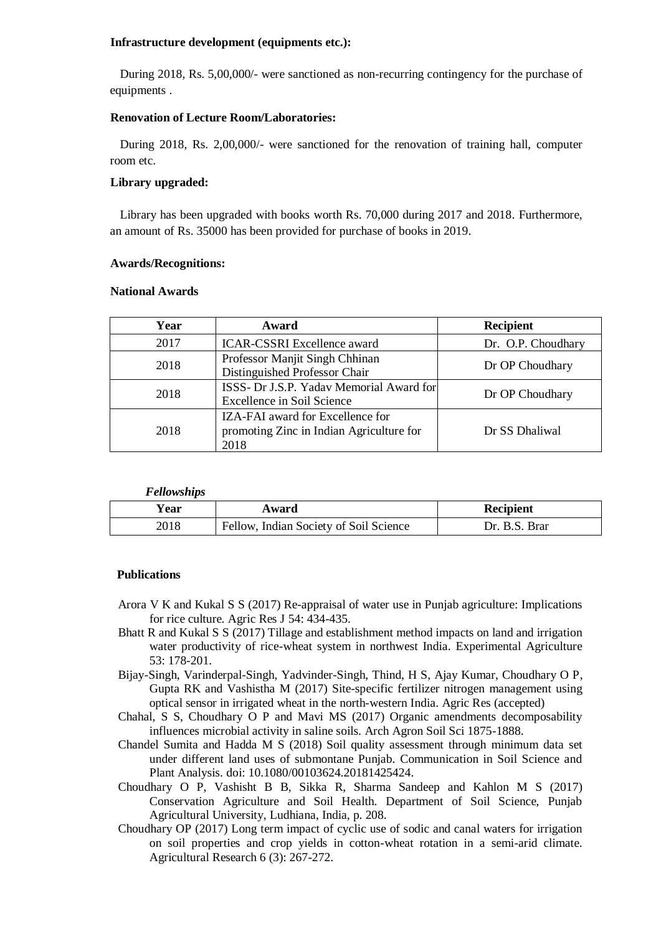#### **Infrastructure development (equipments etc.):**

During 2018, Rs. 5,00,000/- were sanctioned as non-recurring contingency for the purchase of equipments .

## **Renovation of Lecture Room/Laboratories:**

During 2018, Rs. 2,00,000/- were sanctioned for the renovation of training hall, computer room etc.

## **Library upgraded:**

Library has been upgraded with books worth Rs. 70,000 during 2017 and 2018. Furthermore, an amount of Rs. 35000 has been provided for purchase of books in 2019.

### **Awards/Recognitions:**

### **National Awards**

| Year | Award                                                                                | <b>Recipient</b>   |
|------|--------------------------------------------------------------------------------------|--------------------|
| 2017 | <b>ICAR-CSSRI Excellence award</b>                                                   | Dr. O.P. Choudhary |
| 2018 | Professor Manjit Singh Chhinan<br>Distinguished Professor Chair                      | Dr OP Choudhary    |
| 2018 | ISSS- Dr J.S.P. Yadav Memorial Award for<br>Excellence in Soil Science               | Dr OP Choudhary    |
| 2018 | IZA-FAI award for Excellence for<br>promoting Zinc in Indian Agriculture for<br>2018 | Dr SS Dhaliwal     |

*Fellowships*

| Ƴear | Award                                  | Recipient     |
|------|----------------------------------------|---------------|
| 2018 | Fellow, Indian Society of Soil Science | Dr. B.S. Brar |

### **Publications**

- Arora V K and Kukal S S (2017) Re-appraisal of water use in Punjab agriculture: Implications for rice culture. Agric Res J 54: 434-435.
- Bhatt R and Kukal S S (2017) Tillage and establishment method impacts on land and irrigation water productivity of rice-wheat system in northwest India. Experimental Agriculture 53: 178-201.
- Bijay-Singh, Varinderpal-Singh, Yadvinder-Singh, Thind, H S, Ajay Kumar, Choudhary O P, Gupta RK and Vashistha M (2017) Site-specific fertilizer nitrogen management using optical sensor in irrigated wheat in the north-western India. Agric Res (accepted)
- Chahal, S S, Choudhary O P and Mavi MS (2017) Organic amendments decomposability influences microbial activity in saline soils. Arch Agron Soil Sci 1875-1888.
- Chandel Sumita and Hadda M S (2018) Soil quality assessment through minimum data set under different land uses of submontane Punjab. Communication in Soil Science and Plant Analysis. doi: 10.1080/00103624.20181425424.
- Choudhary O P, Vashisht B B, Sikka R, Sharma Sandeep and Kahlon M S (2017) Conservation Agriculture and Soil Health. Department of Soil Science, Punjab Agricultural University, Ludhiana, India, p. 208.
- Choudhary OP (2017) Long term impact of cyclic use of sodic and canal waters for irrigation on soil properties and crop yields in cotton-wheat rotation in a semi-arid climate. Agricultural Research 6 (3): 267-272.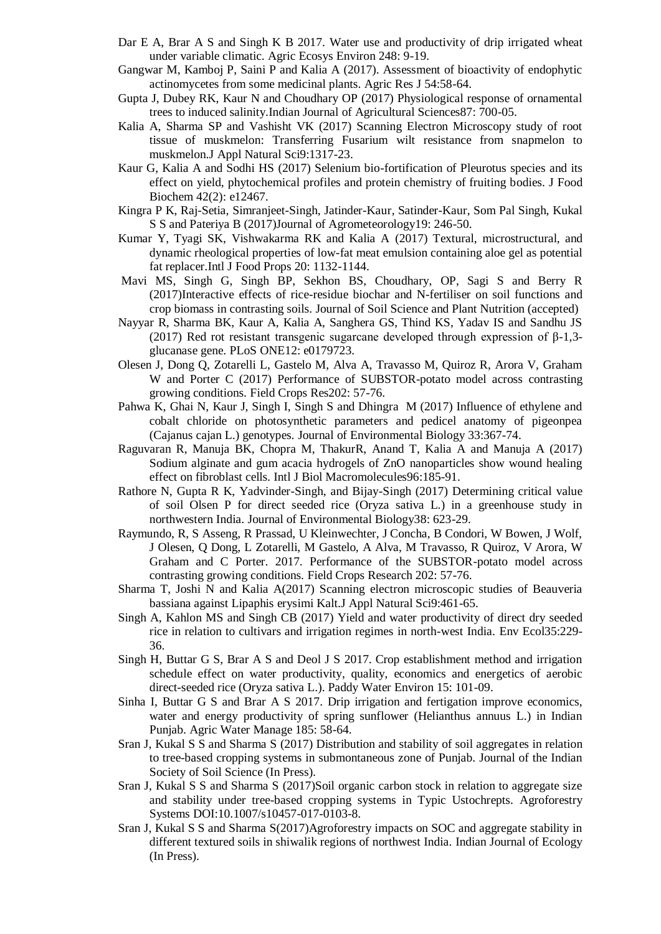- Dar E A, Brar A S and Singh K B 2017. Water use and productivity of drip irrigated wheat under variable climatic. Agric Ecosys Environ 248: 9-19.
- Gangwar M, Kamboj P, Saini P and Kalia A (2017). Assessment of bioactivity of endophytic actinomycetes from some medicinal plants. Agric Res J 54:58-64.
- Gupta J, Dubey RK, Kaur N and Choudhary OP (2017) Physiological response of ornamental trees to induced salinity.Indian Journal of Agricultural Sciences87: 700-05.
- Kalia A, Sharma SP and Vashisht VK (2017) Scanning Electron Microscopy study of root tissue of muskmelon: Transferring Fusarium wilt resistance from snapmelon to muskmelon.J Appl Natural Sci9:1317-23.
- Kaur G, Kalia A and Sodhi HS (2017) Selenium bio-fortification of Pleurotus species and its effect on yield, phytochemical profiles and protein chemistry of fruiting bodies. J Food Biochem 42(2): e12467.
- Kingra P K, Raj-Setia, Simranjeet-Singh, Jatinder-Kaur, Satinder-Kaur, Som Pal Singh, Kukal S S and Pateriya B (2017)Journal of Agrometeorology19: 246-50.
- Kumar Y, Tyagi SK, Vishwakarma RK and Kalia A (2017) Textural, microstructural, and dynamic rheological properties of low-fat meat emulsion containing aloe gel as potential fat replacer.Intl J Food Props 20: 1132-1144.
- Mavi MS, Singh G, Singh BP, Sekhon BS, Choudhary, OP, Sagi S and Berry R (2017)Interactive effects of rice-residue biochar and N-fertiliser on soil functions and crop biomass in contrasting soils. Journal of Soil Science and Plant Nutrition (accepted)
- Nayyar R, Sharma BK, Kaur A, Kalia A, Sanghera GS, Thind KS, Yadav IS and Sandhu JS (2017) Red rot resistant transgenic sugarcane developed through expression of  $\beta$ -1,3glucanase gene. PLoS ONE12: e0179723.
- Olesen J, Dong Q, Zotarelli L, Gastelo M, Alva A, Travasso M, Quiroz R, Arora V, Graham W and Porter C (2017) Performance of SUBSTOR-potato model across contrasting growing conditions. Field Crops Res202: 57-76.
- Pahwa K, Ghai N, Kaur J, Singh I, Singh S and Dhingra M (2017) Influence of ethylene and cobalt chloride on photosynthetic parameters and pedicel anatomy of pigeonpea (Cajanus cajan L.) genotypes. Journal of Environmental Biology 33:367-74.
- Raguvaran R, Manuja BK, Chopra M, ThakurR, Anand T, Kalia A and Manuja A (2017) Sodium alginate and gum acacia hydrogels of ZnO nanoparticles show wound healing effect on fibroblast cells. Intl J Biol Macromolecules96:185-91.
- Rathore N, Gupta R K, Yadvinder-Singh, and Bijay-Singh (2017) Determining critical value of soil Olsen P for direct seeded rice (Oryza sativa L.) in a greenhouse study in northwestern India. Journal of Environmental Biology38: 623-29.
- Raymundo, R, S Asseng, R Prassad, U Kleinwechter, J Concha, B Condori, W Bowen, J Wolf, J Olesen, Q Dong, L Zotarelli, M Gastelo, A Alva, M Travasso, R Quiroz, V Arora, W Graham and C Porter. 2017. Performance of the SUBSTOR-potato model across contrasting growing conditions. Field Crops Research 202: 57-76.
- Sharma T, Joshi N and Kalia A(2017) Scanning electron microscopic studies of Beauveria bassiana against Lipaphis erysimi Kalt.J Appl Natural Sci9:461-65.
- Singh A, Kahlon MS and Singh CB (2017) Yield and water productivity of direct dry seeded rice in relation to cultivars and irrigation regimes in north-west India. Env Ecol35:229- 36.
- Singh H, Buttar G S, Brar A S and Deol J S 2017. Crop establishment method and irrigation schedule effect on water productivity, quality, economics and energetics of aerobic direct-seeded rice (Oryza sativa L.). Paddy Water Environ 15: 101-09.
- Sinha I, Buttar G S and Brar A S 2017. Drip irrigation and fertigation improve economics, water and energy productivity of spring sunflower (Helianthus annuus L.) in Indian Punjab. Agric Water Manage 185: 58-64.
- Sran J, Kukal S S and Sharma S (2017) Distribution and stability of soil aggregates in relation to tree-based cropping systems in submontaneous zone of Punjab. Journal of the Indian Society of Soil Science (In Press).
- Sran J, Kukal S S and Sharma S (2017)Soil organic carbon stock in relation to aggregate size and stability under tree-based cropping systems in Typic Ustochrepts. Agroforestry Systems DOI:10.1007/s10457-017-0103-8.
- Sran J, Kukal S S and Sharma S(2017)Agroforestry impacts on SOC and aggregate stability in different textured soils in shiwalik regions of northwest India. Indian Journal of Ecology (In Press).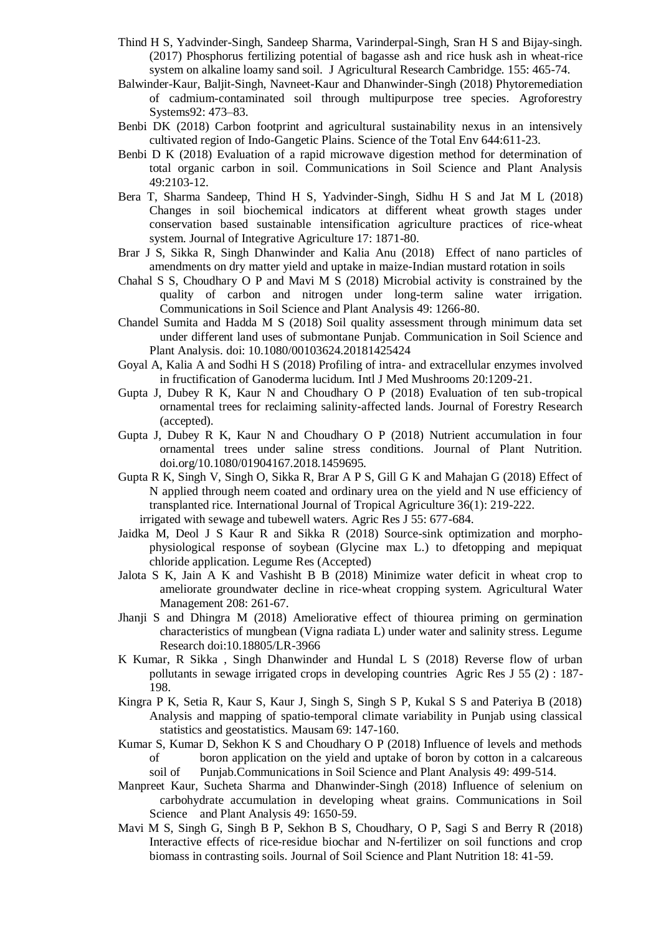- Thind H S, Yadvinder-Singh, Sandeep Sharma, Varinderpal-Singh, Sran H S and Bijay-singh. (2017) Phosphorus fertilizing potential of bagasse ash and rice husk ash in wheat-rice system on alkaline loamy sand soil. J Agricultural Research Cambridge. 155: 465-74.
- Balwinder-Kaur, Baljit-Singh, Navneet-Kaur and Dhanwinder-Singh (2018) Phytoremediation of cadmium-contaminated soil through multipurpose tree species. Agroforestry Systems92: 473–83.
- Benbi DK (2018) Carbon footprint and agricultural sustainability nexus in an intensively cultivated region of Indo-Gangetic Plains. Science of the Total Env 644:611-23.
- Benbi D K (2018) Evaluation of a rapid microwave digestion method for determination of total organic carbon in soil. Communications in Soil Science and Plant Analysis 49:2103-12.
- Bera T, Sharma Sandeep, Thind H S, Yadvinder-Singh, Sidhu H S and Jat M L (2018) Changes in soil biochemical indicators at different wheat growth stages under conservation based sustainable intensification agriculture practices of rice-wheat system. Journal of Integrative Agriculture 17: 1871-80.
- Brar J S, Sikka R, Singh Dhanwinder and Kalia Anu (2018) Effect of nano particles of amendments on dry matter yield and uptake in maize-Indian mustard rotation in soils
- Chahal S S, Choudhary O P and Mavi M S (2018) Microbial activity is constrained by the quality of carbon and nitrogen under long-term saline water irrigation. Communications in Soil Science and Plant Analysis 49: 1266-80.
- Chandel Sumita and Hadda M S (2018) Soil quality assessment through minimum data set under different land uses of submontane Punjab. Communication in Soil Science and Plant Analysis. doi: 10.1080/00103624.20181425424
- Goyal A, Kalia A and Sodhi H S (2018) Profiling of intra- and extracellular enzymes involved in fructification of Ganoderma lucidum. Intl J Med Mushrooms 20:1209-21.
- Gupta J, Dubey R K, Kaur N and Choudhary O P (2018) Evaluation of ten sub-tropical ornamental trees for reclaiming salinity-affected lands. Journal of Forestry Research (accepted).
- Gupta J, Dubey R K, Kaur N and Choudhary O P (2018) Nutrient accumulation in four ornamental trees under saline stress conditions. Journal of Plant Nutrition. doi.org/10.1080/01904167.2018.1459695.
- Gupta R K, Singh V, Singh O, Sikka R, Brar A P S, Gill G K and Mahajan G (2018) Effect of N applied through neem coated and ordinary urea on the yield and N use efficiency of transplanted rice. International Journal of Tropical Agriculture 36(1): 219-222. irrigated with sewage and tubewell waters. Agric Res J 55: 677-684.
- Jaidka M, Deol J S Kaur R and Sikka R (2018) Source-sink optimization and morphophysiological response of soybean (Glycine max L.) to dfetopping and mepiquat chloride application. Legume Res (Accepted)
- Jalota S K, Jain A K and Vashisht B B (2018) Minimize water deficit in wheat crop to ameliorate groundwater decline in rice-wheat cropping system. Agricultural Water Management 208: 261-67.
- Jhanji S and Dhingra M (2018) Ameliorative effect of thiourea priming on germination characteristics of mungbean (Vigna radiata L) under water and salinity stress. Legume Research doi:10.18805/LR-3966
- K Kumar, R Sikka , Singh Dhanwinder and Hundal L S (2018) Reverse flow of urban pollutants in sewage irrigated crops in developing countries Agric Res J 55 (2) : 187- 198.
- Kingra P K, Setia R, Kaur S, Kaur J, Singh S, Singh S P, Kukal S S and Pateriya B (2018) Analysis and mapping of spatio-temporal climate variability in Punjab using classical statistics and geostatistics. Mausam 69: 147-160.
- Kumar S, Kumar D, Sekhon K S and Choudhary O P (2018) Influence of levels and methods of boron application on the yield and uptake of boron by cotton in a calcareous soil of Punjab.Communications in Soil Science and Plant Analysis 49: 499-514.
- Manpreet Kaur, Sucheta Sharma and Dhanwinder-Singh (2018) Influence of selenium on carbohydrate accumulation in developing wheat grains. Communications in Soil Science and Plant Analysis 49: 1650-59.
- Mavi M S, Singh G, Singh B P, Sekhon B S, Choudhary, O P, Sagi S and Berry R (2018) Interactive effects of rice-residue biochar and N-fertilizer on soil functions and crop biomass in contrasting soils. Journal of Soil Science and Plant Nutrition 18: 41-59.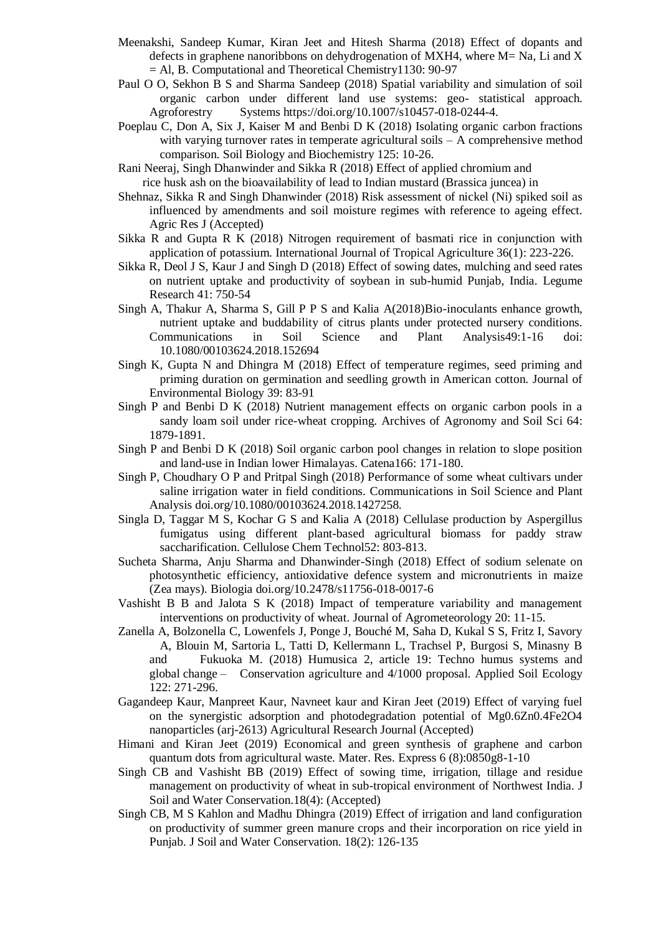- Meenakshi, Sandeep Kumar, Kiran Jeet and Hitesh Sharma (2018) Effect of dopants and defects in graphene nanoribbons on dehydrogenation of MXH4, where  $M=$  Na, Li and X  $=$  Al, B. Computational and Theoretical Chemistry1130: 90-97
- Paul O O, Sekhon B S and Sharma Sandeep (2018) Spatial variability and simulation of soil organic carbon under different land use systems: geo- statistical approach. Agroforestry Systems https://doi.org/10.1007/s10457-018-0244-4.
- Poeplau C, Don A, Six J, Kaiser M and Benbi D K (2018) Isolating organic carbon fractions with varying turnover rates in temperate agricultural soils – A comprehensive method comparison. Soil Biology and Biochemistry 125: 10-26.
- Rani Neeraj, Singh Dhanwinder and Sikka R (2018) Effect of applied chromium and
	- rice husk ash on the bioavailability of lead to Indian mustard (Brassica juncea) in
- Shehnaz, Sikka R and Singh Dhanwinder (2018) Risk assessment of nickel (Ni) spiked soil as influenced by amendments and soil moisture regimes with reference to ageing effect. Agric Res J (Accepted)
- Sikka R and Gupta R K (2018) Nitrogen requirement of basmati rice in conjunction with application of potassium. International Journal of Tropical Agriculture 36(1): 223-226.
- Sikka R, Deol J S, Kaur J and Singh D (2018) Effect of sowing dates, mulching and seed rates on nutrient uptake and productivity of soybean in sub-humid Punjab, India. Legume Research 41: 750-54
- Singh A, Thakur A, Sharma S, Gill P P S and Kalia A(2018)Bio-inoculants enhance growth, nutrient uptake and buddability of citrus plants under protected nursery conditions. Communications in Soil Science and Plant Analysis49:1-16 doi: 10.1080/00103624.2018.152694
- Singh K, Gupta N and Dhingra M (2018) Effect of temperature regimes, seed priming and priming duration on germination and seedling growth in American cotton. Journal of Environmental Biology 39: 83-91
- Singh P and Benbi D K (2018) Nutrient management effects on organic carbon pools in a sandy loam soil under rice-wheat cropping. Archives of Agronomy and Soil Sci 64: 1879-1891.
- Singh P and Benbi D K (2018) Soil organic carbon pool changes in relation to slope position and land-use in Indian lower Himalayas. Catena166: 171-180.
- Singh P, Choudhary O P and Pritpal Singh (2018) Performance of some wheat cultivars under saline irrigation water in field conditions. Communications in Soil Science and Plant Analysis doi.org/10.1080/00103624.2018.1427258.
- Singla D, Taggar M S, Kochar G S and Kalia A (2018) Cellulase production by Aspergillus fumigatus using different plant-based agricultural biomass for paddy straw saccharification. Cellulose Chem Technol52: 803-813.
- Sucheta Sharma, Anju Sharma and Dhanwinder-Singh (2018) Effect of sodium selenate on photosynthetic efficiency, antioxidative defence system and micronutrients in maize (Zea mays). Biologia doi.org/10.2478/s11756-018-0017-6
- Vashisht B B and Jalota S K (2018) Impact of temperature variability and management interventions on productivity of wheat. Journal of Agrometeorology 20: 11-15.
- Zanella A, Bolzonella C, Lowenfels J, Ponge J, Bouché M, Saha D, Kukal S S, Fritz I, Savory A, Blouin M, Sartoria L, Tatti D, Kellermann L, Trachsel P, Burgosi S, Minasny B and Fukuoka M. (2018) Humusica 2, article 19: Techno humus systems and global change – Conservation agriculture and 4/1000 proposal. Applied Soil Ecology 122: 271-296.
- Gagandeep Kaur, Manpreet Kaur, Navneet kaur and Kiran Jeet (2019) Effect of varying fuel on the synergistic adsorption and photodegradation potential of Mg0.6Zn0.4Fe2O4 nanoparticles (arj-2613) Agricultural Research Journal (Accepted)
- Himani and Kiran Jeet (2019) Economical and green synthesis of graphene and carbon quantum dots from agricultural waste. Mater. Res. Express 6 (8):0850g8-1-10
- Singh CB and Vashisht BB (2019) Effect of sowing time, irrigation, tillage and residue management on productivity of wheat in sub-tropical environment of Northwest India. J Soil and Water Conservation.18(4): (Accepted)
- Singh CB, M S Kahlon and Madhu Dhingra (2019) Effect of irrigation and land configuration on productivity of summer green manure crops and their incorporation on rice yield in Punjab. J Soil and Water Conservation. 18(2): 126-135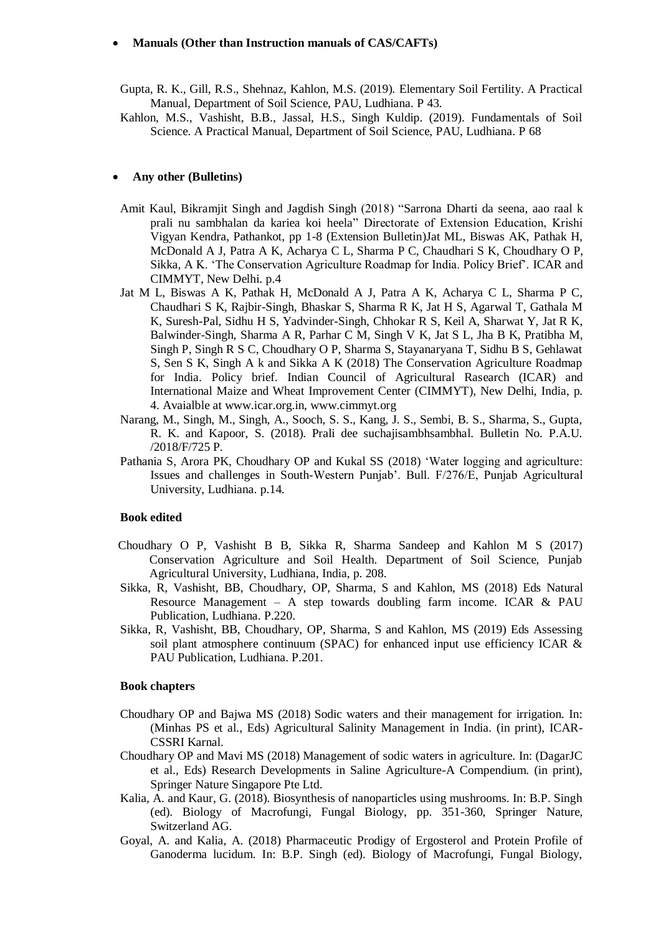#### **Manuals (Other than Instruction manuals of CAS/CAFTs)**

- Gupta, R. K., Gill, R.S., Shehnaz, Kahlon, M.S. (2019). Elementary Soil Fertility. A Practical Manual, Department of Soil Science, PAU, Ludhiana. P 43.
- Kahlon, M.S., Vashisht, B.B., Jassal, H.S., Singh Kuldip. (2019). Fundamentals of Soil Science. A Practical Manual, Department of Soil Science, PAU, Ludhiana. P 68

#### **Any other (Bulletins)**

- Amit Kaul, Bikramjit Singh and Jagdish Singh (2018) "Sarrona Dharti da seena, aao raal k prali nu sambhalan da kariea koi heela" Directorate of Extension Education, Krishi Vigyan Kendra, Pathankot, pp 1-8 (Extension Bulletin)Jat ML, Biswas AK, Pathak H, McDonald A J, Patra A K, Acharya C L, Sharma P C, Chaudhari S K, Choudhary O P, Sikka, A K. 'The Conservation Agriculture Roadmap for India. Policy Brief'. ICAR and CIMMYT, New Delhi. p.4
- Jat M L, Biswas A K, Pathak H, McDonald A J, Patra A K, Acharya C L, Sharma P C, Chaudhari S K, Rajbir-Singh, Bhaskar S, Sharma R K, Jat H S, Agarwal T, Gathala M K, Suresh-Pal, Sidhu H S, Yadvinder-Singh, Chhokar R S, Keil A, Sharwat Y, Jat R K, Balwinder-Singh, Sharma A R, Parhar C M, Singh V K, Jat S L, Jha B K, Pratibha M, Singh P, Singh R S C, Choudhary O P, Sharma S, Stayanaryana T, Sidhu B S, Gehlawat S, Sen S K, Singh A k and Sikka A K (2018) The Conservation Agriculture Roadmap for India. Policy brief. Indian Council of Agricultural Rasearch (ICAR) and International Maize and Wheat Improvement Center (CIMMYT), New Delhi, India, p. 4. Avaialble at www.icar.org.in, www.cimmyt.org
- Narang, M., Singh, M., Singh, A., Sooch, S. S., Kang, J. S., Sembi, B. S., Sharma, S., Gupta, R. K. and Kapoor, S. (2018). Prali dee suchajisambhsambhal. Bulletin No. P.A.U. /2018/F/725 P.
- Pathania S, Arora PK, Choudhary OP and Kukal SS (2018) 'Water logging and agriculture: Issues and challenges in South-Western Punjab'. Bull. F/276/E, Punjab Agricultural University, Ludhiana. p.14.

#### **Book edited**

- Choudhary O P, Vashisht B B, Sikka R, Sharma Sandeep and Kahlon M S (2017) Conservation Agriculture and Soil Health. Department of Soil Science, Punjab Agricultural University, Ludhiana, India, p. 208.
- Sikka, R, Vashisht, BB, Choudhary, OP, Sharma, S and Kahlon, MS (2018) Eds Natural Resource Management – A step towards doubling farm income. ICAR & PAU Publication, Ludhiana. P.220.
- Sikka, R, Vashisht, BB, Choudhary, OP, Sharma, S and Kahlon, MS (2019) Eds Assessing soil plant atmosphere continuum (SPAC) for enhanced input use efficiency ICAR & PAU Publication, Ludhiana. P.201.

#### **Book chapters**

- Choudhary OP and Bajwa MS (2018) Sodic waters and their management for irrigation. In: (Minhas PS et al., Eds) Agricultural Salinity Management in India. (in print), ICAR-CSSRI Karnal.
- Choudhary OP and Mavi MS (2018) Management of sodic waters in agriculture. In: (DagarJC et al., Eds) Research Developments in Saline Agriculture-A Compendium. (in print), Springer Nature Singapore Pte Ltd.
- Kalia, A. and Kaur, G. (2018). Biosynthesis of nanoparticles using mushrooms. In: B.P. Singh (ed). Biology of Macrofungi, Fungal Biology, pp. 351-360, Springer Nature, Switzerland AG.
- Goyal, A. and Kalia, A. (2018) Pharmaceutic Prodigy of Ergosterol and Protein Profile of Ganoderma lucidum. In: B.P. Singh (ed). Biology of Macrofungi, Fungal Biology,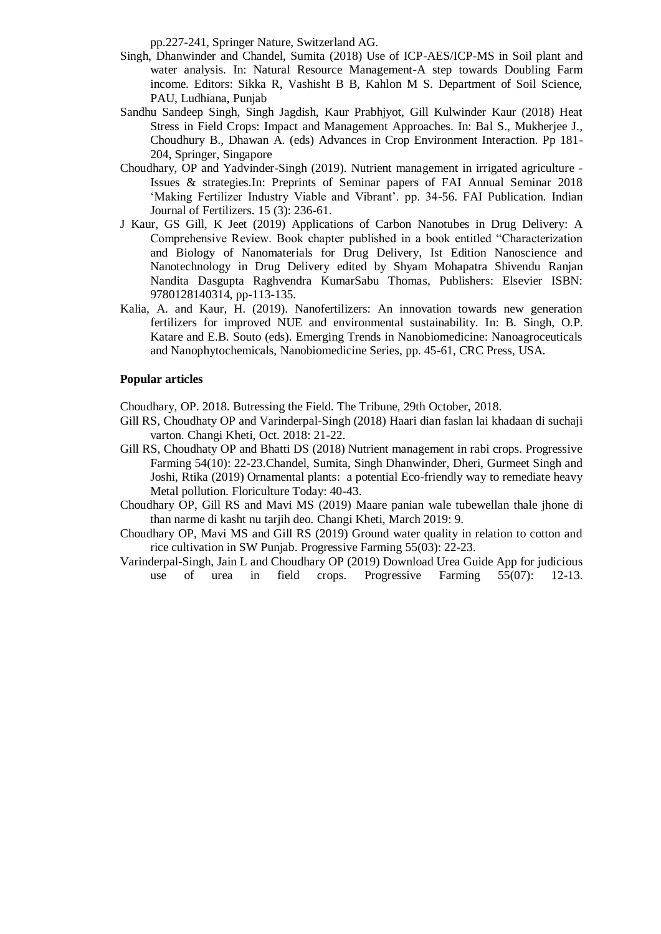pp.227-241, Springer Nature, Switzerland AG.

- Singh, Dhanwinder and Chandel, Sumita (2018) Use of ICP-AES/ICP-MS in Soil plant and water analysis. In: Natural Resource Management-A step towards Doubling Farm income. Editors: Sikka R, Vashisht B B, Kahlon M S. Department of Soil Science, PAU, Ludhiana, Punjab
- Sandhu Sandeep Singh, Singh Jagdish, Kaur Prabhjyot, Gill Kulwinder Kaur (2018) Heat Stress in Field Crops: Impact and Management Approaches. In: Bal S., Mukherjee J., Choudhury B., Dhawan A. (eds) Advances in Crop Environment Interaction. Pp 181- 204, Springer, Singapore
- Choudhary, OP and Yadvinder-Singh (2019). Nutrient management in irrigated agriculture Issues & strategies.In: Preprints of Seminar papers of FAI Annual Seminar 2018 'Making Fertilizer Industry Viable and Vibrant'. pp. 34-56. FAI Publication. Indian Journal of Fertilizers. 15 (3): 236-61.
- J Kaur, GS Gill, K Jeet (2019) Applications of Carbon Nanotubes in Drug Delivery: A Comprehensive Review. Book chapter published in a book entitled "Characterization and Biology of Nanomaterials for Drug Delivery, Ist Edition Nanoscience and Nanotechnology in Drug Delivery edited by Shyam Mohapatra Shivendu Ranjan Nandita Dasgupta Raghvendra KumarSabu Thomas, Publishers: Elsevier ISBN: 9780128140314, pp-113-135.
- Kalia, A. and Kaur, H. (2019). Nanofertilizers: An innovation towards new generation fertilizers for improved NUE and environmental sustainability. In: B. Singh, O.P. Katare and E.B. Souto (eds). Emerging Trends in Nanobiomedicine: Nanoagroceuticals and Nanophytochemicals, Nanobiomedicine Series, pp. 45-61, CRC Press, USA.

#### **Popular articles**

Choudhary, OP. 2018. Butressing the Field. The Tribune, 29th October, 2018.

- Gill RS, Choudhaty OP and Varinderpal-Singh (2018) Haari dian faslan lai khadaan di suchaji varton. Changi Kheti, Oct. 2018: 21-22.
- Gill RS, Choudhaty OP and Bhatti DS (2018) Nutrient management in rabi crops. Progressive Farming 54(10): 22-23.Chandel, Sumita, Singh Dhanwinder, Dheri, Gurmeet Singh and Joshi, Rtika (2019) Ornamental plants: a potential Eco-friendly way to remediate heavy Metal pollution. Floriculture Today: 40-43.
- Choudhary OP, Gill RS and Mavi MS (2019) Maare panian wale tubewellan thale jhone di than narme di kasht nu tarjih deo. Changi Kheti, March 2019: 9.
- Choudhary OP, Mavi MS and Gill RS (2019) Ground water quality in relation to cotton and rice cultivation in SW Punjab. Progressive Farming 55(03): 22-23.
- Varinderpal-Singh, Jain L and Choudhary OP (2019) Download Urea Guide App for judicious use of urea in field crops. Progressive Farming 55(07): 12-13.